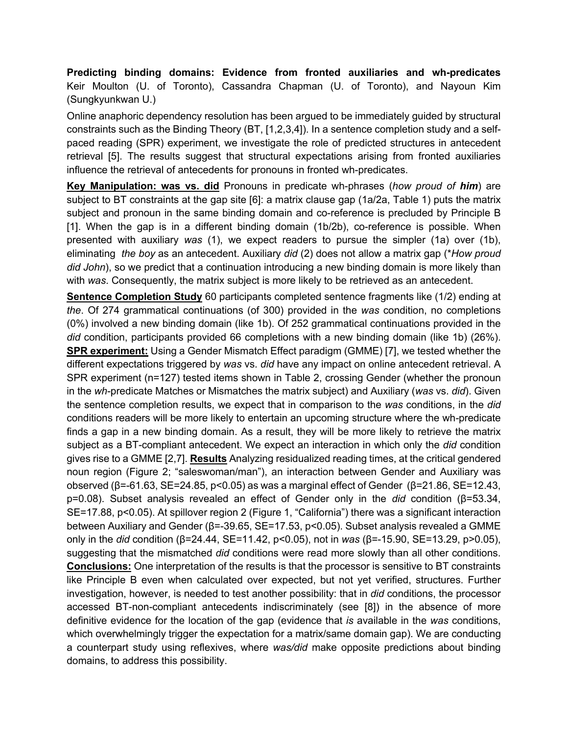**Predicting binding domains: Evidence from fronted auxiliaries and wh-predicates** Keir Moulton (U. of Toronto), Cassandra Chapman (U. of Toronto), and Nayoun Kim (Sungkyunkwan U.)

Online anaphoric dependency resolution has been argued to be immediately guided by structural constraints such as the Binding Theory (BT, [1,2,3,4]). In a sentence completion study and a selfpaced reading (SPR) experiment, we investigate the role of predicted structures in antecedent retrieval [5]. The results suggest that structural expectations arising from fronted auxiliaries influence the retrieval of antecedents for pronouns in fronted wh-predicates.

**Key Manipulation: was vs. did** Pronouns in predicate wh-phrases (*how proud of him*) are subject to BT constraints at the gap site [6]: a matrix clause gap (1a/2a, Table 1) puts the matrix subject and pronoun in the same binding domain and co-reference is precluded by Principle B [1]. When the gap is in a different binding domain (1b/2b), co-reference is possible. When presented with auxiliary *was* (1), we expect readers to pursue the simpler (1a) over (1b), eliminating *the boy* as an antecedent. Auxiliary *did* (2) does not allow a matrix gap (\**How proud did John*), so we predict that a continuation introducing a new binding domain is more likely than with *was*. Consequently, the matrix subject is more likely to be retrieved as an antecedent.

**Sentence Completion Study** 60 participants completed sentence fragments like (1/2) ending at *the*. Of 274 grammatical continuations (of 300) provided in the *was* condition, no completions (0%) involved a new binding domain (like 1b). Of 252 grammatical continuations provided in the *did* condition, participants provided 66 completions with a new binding domain (like 1b) (26%). **SPR experiment:** Using a Gender Mismatch Effect paradigm (GMME) [7], we tested whether the different expectations triggered by *was* vs. *did* have any impact on online antecedent retrieval. A SPR experiment (n=127) tested items shown in Table 2, crossing Gender (whether the pronoun in the *wh*-predicate Matches or Mismatches the matrix subject) and Auxiliary (*was* vs. *did*). Given the sentence completion results, we expect that in comparison to the *was* conditions, in the *did*  conditions readers will be more likely to entertain an upcoming structure where the wh*-*predicate finds a gap in a new binding domain. As a result, they will be more likely to retrieve the matrix subject as a BT-compliant antecedent. We expect an interaction in which only the *did* condition gives rise to a GMME [2,7]. **Results** Analyzing residualized reading times, at the critical gendered noun region (Figure 2; "saleswoman/man"), an interaction between Gender and Auxiliary was observed (β=-61.63, SE=24.85, p<0.05) as was a marginal effect of Gender (β=21.86, SE=12.43, p=0.08). Subset analysis revealed an effect of Gender only in the *did* condition (β=53.34, SE=17.88, p<0.05). At spillover region 2 (Figure 1, "California") there was a significant interaction between Auxiliary and Gender (β=-39.65, SE=17.53, p<0.05). Subset analysis revealed a GMME only in the *did* condition (β=24.44, SE=11.42, p<0.05), not in *was* (β=-15.90, SE=13.29, p>0.05), suggesting that the mismatched *did* conditions were read more slowly than all other conditions. **Conclusions:** One interpretation of the results is that the processor is sensitive to BT constraints like Principle B even when calculated over expected, but not yet verified, structures. Further investigation, however, is needed to test another possibility: that in *did* conditions, the processor accessed BT-non-compliant antecedents indiscriminately (see [8]) in the absence of more definitive evidence for the location of the gap (evidence that *is* available in the *was* conditions, which overwhelmingly trigger the expectation for a matrix/same domain gap). We are conducting a counterpart study using reflexives, where *was/did* make opposite predictions about binding domains, to address this possibility.